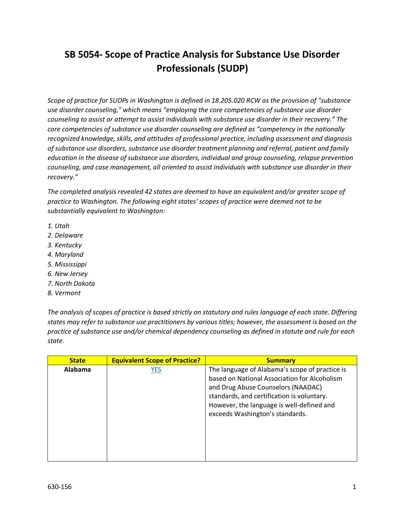## **SB 5054- Scope of Practice Analysis for Substance Use Disorder Professionals (SUDP)**

*Scope of practice for SUDPs in Washington is defined in 18.205.020 RCW as the provision of "substance use disorder counseling," which means "employing the core competencies of substance use disorder counseling to assist or attempt to assist individuals with substance use disorder in their recovery." The core competencies of substance use disorder counseling are defined as "competency in the nationally recognized knowledge, skills, and attitudes of professional practice, including assessment and diagnosis of substance use disorders, substance use disorder treatment planning and referral, patient and family education in the disease of substance use disorders, individual and group counseling, relapse prevention counseling, and case management, all oriented to assist individuals with substance use disorder in their recovery."* 

*The completed analysis revealed 42 states are deemed to have an equivalent and/or greater scope of practice to Washington. The following eight states' scopes of practice were deemed not to be substantially equivalent to Washington:*

- *1. Utah*
- *2. Delaware*
- *3. Kentucky*
- *4. Maryland*
- *5. Mississippi*
- *6. New Jersey*
- *7. North Dakota*
- *8. Vermont*

*The analysis of scopes of practice is based strictly on statutory and rules language of each state. Differing states may refer to substance use practitioners by various titles; however, the assessment is based on the practice of substance use and/or chemical dependency counseling as defined in statute and rule for each state.*

| <b>State</b> | <b>Equivalent Scope of Practice?</b> | <b>Summary</b>                                                                                                                                                                                                                                                     |
|--------------|--------------------------------------|--------------------------------------------------------------------------------------------------------------------------------------------------------------------------------------------------------------------------------------------------------------------|
| Alabama      | YES                                  | The language of Alabama's scope of practice is<br>based on National Association for Alcoholism<br>and Drug Abuse Counselors (NAADAC)<br>standards, and certification is voluntary.<br>However, the language is well-defined and<br>exceeds Washington's standards. |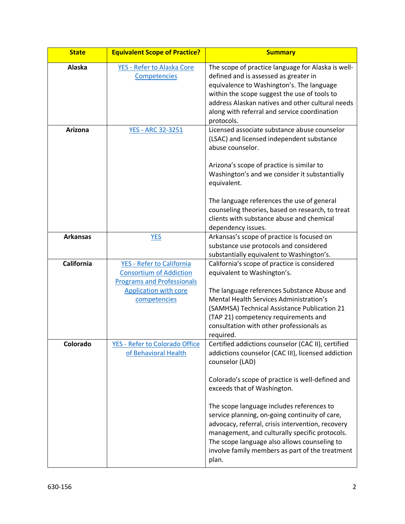| <b>State</b>      | <b>Equivalent Scope of Practice?</b>                                                                                                             | <b>Summary</b>                                                                                                                                                                                                                                                                                                         |
|-------------------|--------------------------------------------------------------------------------------------------------------------------------------------------|------------------------------------------------------------------------------------------------------------------------------------------------------------------------------------------------------------------------------------------------------------------------------------------------------------------------|
| Alaska            | YES - Refer to Alaska Core<br>Competencies                                                                                                       | The scope of practice language for Alaska is well-<br>defined and is assessed as greater in<br>equivalence to Washington's. The language<br>within the scope suggest the use of tools to<br>address Alaskan natives and other cultural needs<br>along with referral and service coordination<br>protocols.             |
| <b>Arizona</b>    | <b>YES - ARC 32-3251</b>                                                                                                                         | Licensed associate substance abuse counselor<br>(LSAC) and licensed independent substance<br>abuse counselor.<br>Arizona's scope of practice is similar to<br>Washington's and we consider it substantially<br>equivalent.                                                                                             |
|                   |                                                                                                                                                  | The language references the use of general<br>counseling theories, based on research, to treat<br>clients with substance abuse and chemical<br>dependency issues.                                                                                                                                                      |
| <b>Arkansas</b>   | <b>YES</b>                                                                                                                                       | Arkansas's scope of practice is focused on<br>substance use protocols and considered<br>substantially equivalent to Washington's.                                                                                                                                                                                      |
| <b>California</b> | YES - Refer to California<br><b>Consortium of Addiction</b><br><b>Programs and Professionals</b><br><b>Application with core</b><br>competencies | California's scope of practice is considered<br>equivalent to Washington's.<br>The language references Substance Abuse and<br>Mental Health Services Administration's<br>(SAMHSA) Technical Assistance Publication 21<br>(TAP 21) competency requirements and<br>consultation with other professionals as<br>required. |
| Colorado          | <b>YES - Refer to Colorado Office</b><br>of Behavioral Health                                                                                    | Certified addictions counselor (CAC II), certified<br>addictions counselor (CAC III), licensed addiction<br>counselor (LAD)<br>Colorado's scope of practice is well-defined and<br>exceeds that of Washington.                                                                                                         |
|                   |                                                                                                                                                  | The scope language includes references to<br>service planning, on-going continuity of care,<br>advocacy, referral, crisis intervention, recovery<br>management, and culturally specific protocols.<br>The scope language also allows counseling to<br>involve family members as part of the treatment<br>plan.         |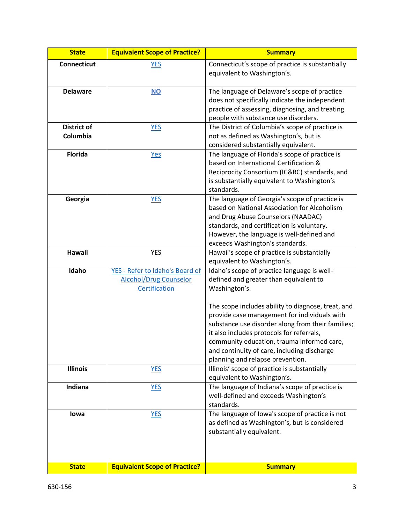| <b>State</b>                   | <b>Equivalent Scope of Practice?</b>                                              | <b>Summary</b>                                                                                                                                                                                                                                                                                                                       |
|--------------------------------|-----------------------------------------------------------------------------------|--------------------------------------------------------------------------------------------------------------------------------------------------------------------------------------------------------------------------------------------------------------------------------------------------------------------------------------|
| Connecticut                    | <b>YES</b>                                                                        | Connecticut's scope of practice is substantially<br>equivalent to Washington's.                                                                                                                                                                                                                                                      |
| <b>Delaware</b>                | $NO$                                                                              | The language of Delaware's scope of practice<br>does not specifically indicate the independent<br>practice of assessing, diagnosing, and treating<br>people with substance use disorders.                                                                                                                                            |
| <b>District of</b><br>Columbia | <b>YES</b>                                                                        | The District of Columbia's scope of practice is<br>not as defined as Washington's, but is<br>considered substantially equivalent.                                                                                                                                                                                                    |
| <b>Florida</b>                 | <b>Yes</b>                                                                        | The language of Florida's scope of practice is<br>based on International Certification &<br>Reciprocity Consortium (IC&RC) standards, and<br>is substantially equivalent to Washington's<br>standards.                                                                                                                               |
| Georgia                        | <b>YES</b>                                                                        | The language of Georgia's scope of practice is<br>based on National Association for Alcoholism<br>and Drug Abuse Counselors (NAADAC)<br>standards, and certification is voluntary.<br>However, the language is well-defined and<br>exceeds Washington's standards.                                                                   |
| Hawaii                         | <b>YES</b>                                                                        | Hawaii's scope of practice is substantially<br>equivalent to Washington's.                                                                                                                                                                                                                                                           |
| Idaho                          | YES - Refer to Idaho's Board of<br><b>Alcohol/Drug Counselor</b><br>Certification | Idaho's scope of practice language is well-<br>defined and greater than equivalent to<br>Washington's.                                                                                                                                                                                                                               |
|                                |                                                                                   | The scope includes ability to diagnose, treat, and<br>provide case management for individuals with<br>substance use disorder along from their families;<br>it also includes protocols for referrals,<br>community education, trauma informed care<br>and continuity of care, including discharge<br>planning and relapse prevention. |
| <b>Illinois</b>                | <b>YES</b>                                                                        | Illinois' scope of practice is substantially<br>equivalent to Washington's.                                                                                                                                                                                                                                                          |
| Indiana                        | <b>YES</b>                                                                        | The language of Indiana's scope of practice is<br>well-defined and exceeds Washington's<br>standards.                                                                                                                                                                                                                                |
| lowa                           | <b>YES</b>                                                                        | The language of Iowa's scope of practice is not<br>as defined as Washington's, but is considered<br>substantially equivalent.                                                                                                                                                                                                        |
| <b>State</b>                   | <b>Equivalent Scope of Practice?</b>                                              | <b>Summary</b>                                                                                                                                                                                                                                                                                                                       |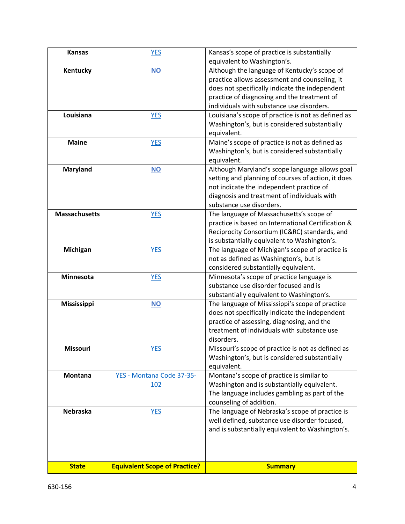| <b>Kansas</b>        | <b>YES</b>                           | Kansas's scope of practice is substantially        |
|----------------------|--------------------------------------|----------------------------------------------------|
|                      |                                      | equivalent to Washington's.                        |
| Kentucky             | <b>NO</b>                            | Although the language of Kentucky's scope of       |
|                      |                                      | practice allows assessment and counseling, it      |
|                      |                                      | does not specifically indicate the independent     |
|                      |                                      | practice of diagnosing and the treatment of        |
|                      |                                      | individuals with substance use disorders.          |
| Louisiana            | <b>YES</b>                           | Louisiana's scope of practice is not as defined as |
|                      |                                      | Washington's, but is considered substantially      |
|                      |                                      | equivalent.                                        |
| <b>Maine</b>         | <b>YES</b>                           | Maine's scope of practice is not as defined as     |
|                      |                                      | Washington's, but is considered substantially      |
|                      |                                      | equivalent.                                        |
| <b>Maryland</b>      | $NO$                                 | Although Maryland's scope language allows goal     |
|                      |                                      | setting and planning of courses of action, it does |
|                      |                                      | not indicate the independent practice of           |
|                      |                                      | diagnosis and treatment of individuals with        |
|                      |                                      | substance use disorders.                           |
| <b>Massachusetts</b> | <b>YES</b>                           | The language of Massachusetts's scope of           |
|                      |                                      | practice is based on International Certification & |
|                      |                                      | Reciprocity Consortium (IC&RC) standards, and      |
|                      |                                      | is substantially equivalent to Washington's.       |
| <b>Michigan</b>      | <b>YES</b>                           | The language of Michigan's scope of practice is    |
|                      |                                      | not as defined as Washington's, but is             |
|                      |                                      | considered substantially equivalent.               |
| Minnesota            | <b>YES</b>                           | Minnesota's scope of practice language is          |
|                      |                                      | substance use disorder focused and is              |
|                      |                                      | substantially equivalent to Washington's.          |
| <b>Mississippi</b>   | <b>NO</b>                            | The language of Mississippi's scope of practice    |
|                      |                                      | does not specifically indicate the independent     |
|                      |                                      | practice of assessing, diagnosing, and the         |
|                      |                                      | treatment of individuals with substance use        |
|                      |                                      | disorders.                                         |
| <b>Missouri</b>      | <u>YES</u>                           | Missouri's scope of practice is not as defined as  |
|                      |                                      | Washington's, but is considered substantially      |
|                      |                                      | equivalent.                                        |
| <b>Montana</b>       | YES - Montana Code 37-35-            | Montana's scope of practice is similar to          |
|                      | <u>102</u>                           | Washington and is substantially equivalent.        |
|                      |                                      | The language includes gambling as part of the      |
|                      |                                      | counseling of addition.                            |
| <b>Nebraska</b>      | <b>YES</b>                           | The language of Nebraska's scope of practice is    |
|                      |                                      | well defined, substance use disorder focused,      |
|                      |                                      | and is substantially equivalent to Washington's.   |
|                      |                                      |                                                    |
|                      |                                      |                                                    |
|                      |                                      |                                                    |
| <b>State</b>         | <b>Equivalent Scope of Practice?</b> | <b>Summary</b>                                     |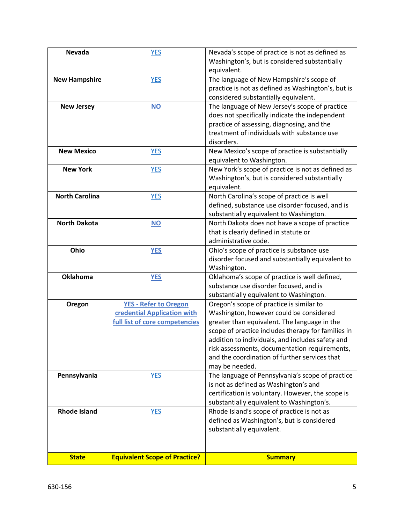| <b>Nevada</b>         | <b>YES</b>                                                                                    | Nevada's scope of practice is not as defined as<br>Washington's, but is considered substantially<br>equivalent.                                                                                                                                                                                                                                                   |
|-----------------------|-----------------------------------------------------------------------------------------------|-------------------------------------------------------------------------------------------------------------------------------------------------------------------------------------------------------------------------------------------------------------------------------------------------------------------------------------------------------------------|
| <b>New Hampshire</b>  | <b>YES</b>                                                                                    | The language of New Hampshire's scope of<br>practice is not as defined as Washington's, but is<br>considered substantially equivalent.                                                                                                                                                                                                                            |
| <b>New Jersey</b>     | $NO$                                                                                          | The language of New Jersey's scope of practice<br>does not specifically indicate the independent<br>practice of assessing, diagnosing, and the<br>treatment of individuals with substance use<br>disorders.                                                                                                                                                       |
| <b>New Mexico</b>     | <b>YES</b>                                                                                    | New Mexico's scope of practice is substantially<br>equivalent to Washington.                                                                                                                                                                                                                                                                                      |
| <b>New York</b>       | <b>YES</b>                                                                                    | New York's scope of practice is not as defined as<br>Washington's, but is considered substantially<br>equivalent.                                                                                                                                                                                                                                                 |
| <b>North Carolina</b> | <b>YES</b>                                                                                    | North Carolina's scope of practice is well<br>defined, substance use disorder focused, and is<br>substantially equivalent to Washington.                                                                                                                                                                                                                          |
| <b>North Dakota</b>   | <b>NO</b>                                                                                     | North Dakota does not have a scope of practice<br>that is clearly defined in statute or<br>administrative code.                                                                                                                                                                                                                                                   |
| Ohio                  | <b>YES</b>                                                                                    | Ohio's scope of practice is substance use<br>disorder focused and substantially equivalent to<br>Washington.                                                                                                                                                                                                                                                      |
| <b>Oklahoma</b>       | <b>YES</b>                                                                                    | Oklahoma's scope of practice is well defined,<br>substance use disorder focused, and is<br>substantially equivalent to Washington.                                                                                                                                                                                                                                |
| Oregon                | <b>YES - Refer to Oregon</b><br>credential Application with<br>full list of core competencies | Oregon's scope of practice is similar to<br>Washington, however could be considered<br>greater than equivalent. The language in the<br>scope of practice includes therapy for families in<br>addition to individuals, and includes safety and<br>risk assessments, documentation requirements,<br>and the coordination of further services that<br>may be needed. |
| Pennsylvania          | <b>YES</b>                                                                                    | The language of Pennsylvania's scope of practice<br>is not as defined as Washington's and<br>certification is voluntary. However, the scope is<br>substantially equivalent to Washington's.                                                                                                                                                                       |
| <b>Rhode Island</b>   | <b>YES</b>                                                                                    | Rhode Island's scope of practice is not as<br>defined as Washington's, but is considered<br>substantially equivalent.                                                                                                                                                                                                                                             |
| <b>State</b>          | <b>Equivalent Scope of Practice?</b>                                                          | <b>Summary</b>                                                                                                                                                                                                                                                                                                                                                    |